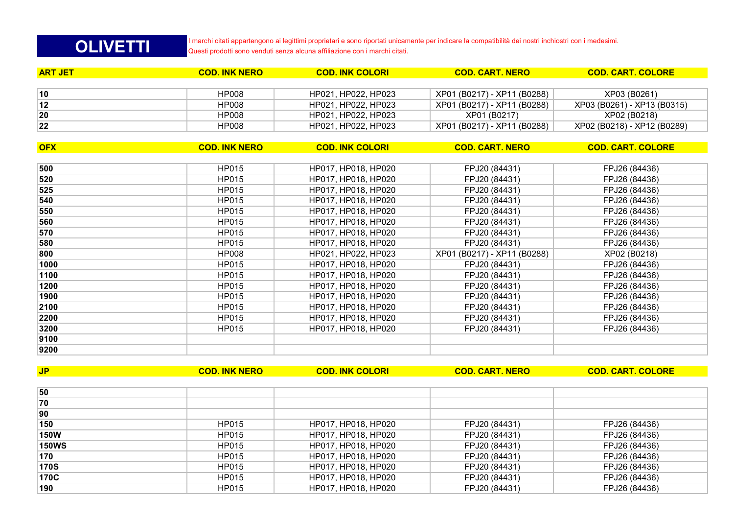| HP015        | HP017, HP018, HP020 | FPJ20 (84431) | FPJ26 (84436) |
|--------------|---------------------|---------------|---------------|
| HP015        | HP017, HP018, HP020 | FPJ20 (84431) | FPJ26 (84436) |
| HP015        | HP017, HP018, HP020 | FPJ20 (84431) | FPJ26 (84436) |
| HP015        | HP017, HP018, HP020 | FPJ20 (84431) | FPJ26 (84436) |
| HP015        | HP017, HP018, HP020 | FPJ20 (84431) | FPJ26 (84436) |
| HP015        | HP017, HP018, HP020 | FPJ20 (84431) | FPJ26 (84436) |
| <b>HP015</b> | HP017, HP018, HP020 | FPJ20 (84431) | FPJ26 (84436) |
|              |                     |               |               |

**JP COD. INK NERO COD. INK COLORI COD. CART. NERO COD. CART. COLORE**

| <b>OFX</b> | <b>COD. INK NERO</b> | <b>COD. INK COLORI</b> | <b>COD. CART. NERO</b>      | <b>COD. CART. COLORE</b> |
|------------|----------------------|------------------------|-----------------------------|--------------------------|
|            |                      |                        |                             |                          |
| 500        | <b>HP015</b>         | HP017, HP018, HP020    | FPJ20 (84431)               | FPJ26 (84436)            |
| 520        | <b>HP015</b>         | HP017, HP018, HP020    | FPJ20 (84431)               | FPJ26 (84436)            |
| 525        | HP015                | HP017, HP018, HP020    | FPJ20 (84431)               | FPJ26 (84436)            |
| 540        | <b>HP015</b>         | HP017, HP018, HP020    | FPJ20 (84431)               | FPJ26 (84436)            |
| 550        | HP015                | HP017, HP018, HP020    | FPJ20 (84431)               | FPJ26 (84436)            |
| 560        | HP015                | HP017, HP018, HP020    | FPJ20 (84431)               | FPJ26 (84436)            |
| 570        | <b>HP015</b>         | HP017, HP018, HP020    | FPJ20 (84431)               | FPJ26 (84436)            |
| 580        | HP015                | HP017, HP018, HP020    | FPJ20 (84431)               | FPJ26 (84436)            |
| 800        | <b>HP008</b>         | HP021, HP022, HP023    | XP01 (B0217) - XP11 (B0288) | XP02 (B0218)             |
| 1000       | HP015                | HP017, HP018, HP020    | FPJ20 (84431)               | FPJ26 (84436)            |
| 1100       | <b>HP015</b>         | HP017, HP018, HP020    | FPJ20 (84431)               | FPJ26 (84436)            |
| 1200       | HP015                | HP017, HP018, HP020    | FPJ20 (84431)               | FPJ26 (84436)            |
| 1900       | <b>HP015</b>         | HP017, HP018, HP020    | FPJ20 (84431)               | FPJ26 (84436)            |
| 2100       | HP015                | HP017, HP018, HP020    | FPJ20 (84431)               | FPJ26 (84436)            |
| 2200       | HP015                | HP017, HP018, HP020    | FPJ20 (84431)               | FPJ26 (84436)            |
| 3200       | <b>HP015</b>         | HP017, HP018, HP020    | FPJ20 (84431)               | FPJ26 (84436)            |
| 9100       |                      |                        |                             |                          |
| 9200       |                      |                        |                             |                          |

| 10 | <b>HP008</b> | HP021, HP022, HP023 | XP01 (B0217) - XP11 (B0288) | XP03 (B0261)                |
|----|--------------|---------------------|-----------------------------|-----------------------------|
| 12 | <b>HP008</b> | HP021, HP022, HP023 | XP01 (B0217) - XP11 (B0288) | XP03 (B0261) - XP13 (B0315) |
| 20 | <b>HP008</b> | HP021. HP022. HP023 | XP01 (B0217)                | XP02 (B0218)                |
| 22 | <b>HP008</b> | HP021. HP022. HP023 | XP01 (B0217) - XP11 (B0288) | XP02 (B0218) - XP12 (B0289) |
|    |              |                     |                             |                             |

| ART JET                  | <b>COD. INK NERO</b> | <b>COD. INK COLORI</b>     | <b>COD. CART. NERO</b>      | <b>COD. CART. COLORE</b> |
|--------------------------|----------------------|----------------------------|-----------------------------|--------------------------|
|                          |                      |                            |                             |                          |
| 10                       | <b>HP008</b>         | HP021. HP022. HP023        | XP01 (B0217) - XP11 (B0288) | XP03 (B0261)             |
| $\overline{\phantom{a}}$ | 1.17222              | $115001$ $115000$ $115000$ | $\mathcal{L}$               | $\sqrt{2}$               |

**OLIVETTI**

I marchi citati appartengono ai legittimi proprietari e sono riportati unicamente per indicare la compatibilità dei nostri inchiostri con i medesimi. Questi prodotti sono venduti senza alcuna affiliazione con i marchi citati.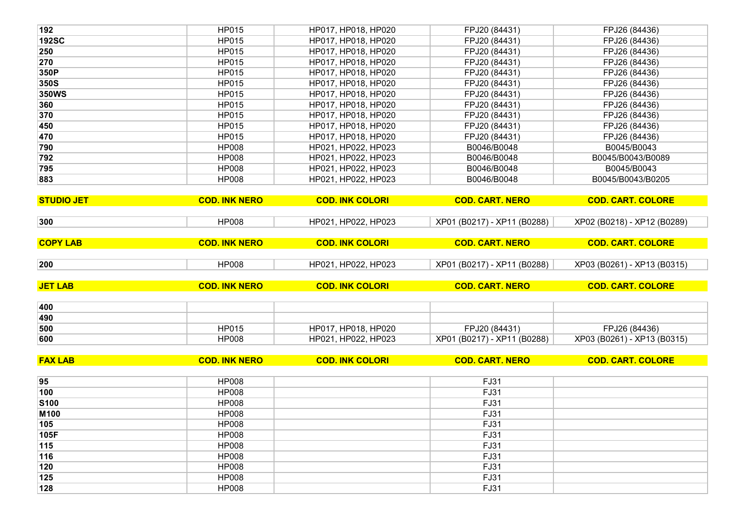| 370                                                                                                  | HP015                        | HP017, HP018, HP020    | FPJ20 (84431)               | FPJ26 (84436)               |
|------------------------------------------------------------------------------------------------------|------------------------------|------------------------|-----------------------------|-----------------------------|
| 450                                                                                                  | HP015                        | HP017, HP018, HP020    | FPJ20 (84431)               | FPJ26 (84436)               |
| 470                                                                                                  | <b>HP015</b>                 | HP017, HP018, HP020    | FPJ20 (84431)               | FPJ26 (84436)               |
| 790                                                                                                  | <b>HP008</b>                 | HP021, HP022, HP023    | B0046/B0048                 | B0045/B0043                 |
| 792                                                                                                  | <b>HP008</b>                 | HP021, HP022, HP023    | B0046/B0048                 | B0045/B0043/B0089           |
| 795                                                                                                  | <b>HP008</b>                 | HP021, HP022, HP023    | B0046/B0048                 | B0045/B0043                 |
| 883                                                                                                  | <b>HP008</b>                 | HP021, HP022, HP023    | B0046/B0048                 | B0045/B0043/B0205           |
|                                                                                                      |                              |                        |                             |                             |
| <b>STUDIO JET</b>                                                                                    | <b>COD. INK NERO</b>         | <b>COD. INK COLORI</b> | <b>COD. CART. NERO</b>      | <b>COD. CART. COLORE</b>    |
| 300                                                                                                  | <b>HP008</b>                 | HP021, HP022, HP023    | XP01 (B0217) - XP11 (B0288) | XP02 (B0218) - XP12 (B0289) |
|                                                                                                      |                              |                        |                             |                             |
| <b>COPY LAB</b>                                                                                      | <b>COD. INK NERO</b>         | <b>COD. INK COLORI</b> | <b>COD. CART. NERO</b>      | <b>COD. CART. COLORE</b>    |
| 200                                                                                                  | <b>HP008</b>                 | HP021, HP022, HP023    | XP01 (B0217) - XP11 (B0288) | XP03 (B0261) - XP13 (B0315) |
| <b>JET LAB</b>                                                                                       | <b>COD. INK NERO</b>         | <b>COD. INK COLORI</b> | <b>COD. CART. NERO</b>      | <b>COD. CART. COLORE</b>    |
|                                                                                                      |                              |                        |                             |                             |
| 400                                                                                                  |                              |                        |                             |                             |
| 490                                                                                                  |                              |                        |                             |                             |
| 500                                                                                                  | <b>HP015</b>                 | HP017, HP018, HP020    | FPJ20 (84431)               | FPJ26 (84436)               |
| 600                                                                                                  | <b>HP008</b>                 | HP021, HP022, HP023    | XP01 (B0217) - XP11 (B0288) | XP03 (B0261) - XP13 (B0315) |
|                                                                                                      |                              |                        |                             |                             |
|                                                                                                      | <b>COD. INK NERO</b>         | <b>COD. INK COLORI</b> | <b>COD. CART. NERO</b>      | <b>COD. CART. COLORE</b>    |
|                                                                                                      |                              |                        |                             |                             |
|                                                                                                      | <b>HP008</b>                 |                        | FJ31                        |                             |
|                                                                                                      | <b>HP008</b>                 |                        | FJ31                        |                             |
|                                                                                                      | <b>HP008</b>                 |                        | FJ31                        |                             |
|                                                                                                      | <b>HP008</b>                 |                        | FJ31                        |                             |
|                                                                                                      | <b>HP008</b>                 |                        | FJ31                        |                             |
|                                                                                                      | <b>HP008</b>                 |                        | FJ31                        |                             |
|                                                                                                      | <b>HP008</b>                 |                        | FJ31                        |                             |
|                                                                                                      | <b>HP008</b>                 |                        | <b>FJ31</b>                 |                             |
|                                                                                                      | <b>HP008</b>                 |                        | FJ31                        |                             |
| <b>FAX LAB</b><br>95<br>100<br><b>S100</b><br>M100<br>105<br>105F<br>115<br>116<br>120<br>125<br>128 | <b>HP008</b><br><b>HP008</b> |                        | FJ31<br>FJ31                |                             |

| 192          | <b>HP015</b> | HP017, HP018, HP020 | FPJ20 (84431) | FPJ26 (84436)     |
|--------------|--------------|---------------------|---------------|-------------------|
| <b>192SC</b> | <b>HP015</b> | HP017, HP018, HP020 | FPJ20 (84431) | FPJ26 (84436)     |
| 250          | <b>HP015</b> | HP017, HP018, HP020 | FPJ20 (84431) | FPJ26 (84436)     |
| 270          | <b>HP015</b> | HP017, HP018, HP020 | FPJ20 (84431) | FPJ26 (84436)     |
| 350P         | HP015        | HP017, HP018, HP020 | FPJ20 (84431) | FPJ26 (84436)     |
| 350S         | <b>HP015</b> | HP017, HP018, HP020 | FPJ20 (84431) | FPJ26 (84436)     |
| <b>350WS</b> | <b>HP015</b> | HP017, HP018, HP020 | FPJ20 (84431) | FPJ26 (84436)     |
| 360          | <b>HP015</b> | HP017, HP018, HP020 | FPJ20 (84431) | FPJ26 (84436)     |
| 370          | <b>HP015</b> | HP017, HP018, HP020 | FPJ20 (84431) | FPJ26 (84436)     |
| 450          | HP015        | HP017, HP018, HP020 | FPJ20 (84431) | FPJ26 (84436)     |
| 470          | HP015        | HP017, HP018, HP020 | FPJ20 (84431) | FPJ26 (84436)     |
| 790          | <b>HP008</b> | HP021, HP022, HP023 | B0046/B0048   | B0045/B0043       |
| 792          | <b>HP008</b> | HP021, HP022, HP023 | B0046/B0048   | B0045/B0043/B0089 |
| 795          | <b>HP008</b> | HP021, HP022, HP023 | B0046/B0048   | B0045/B0043       |
| 883          | <b>HP008</b> | HP021, HP022, HP023 | B0046/B0048   | B0045/B0043/B0205 |